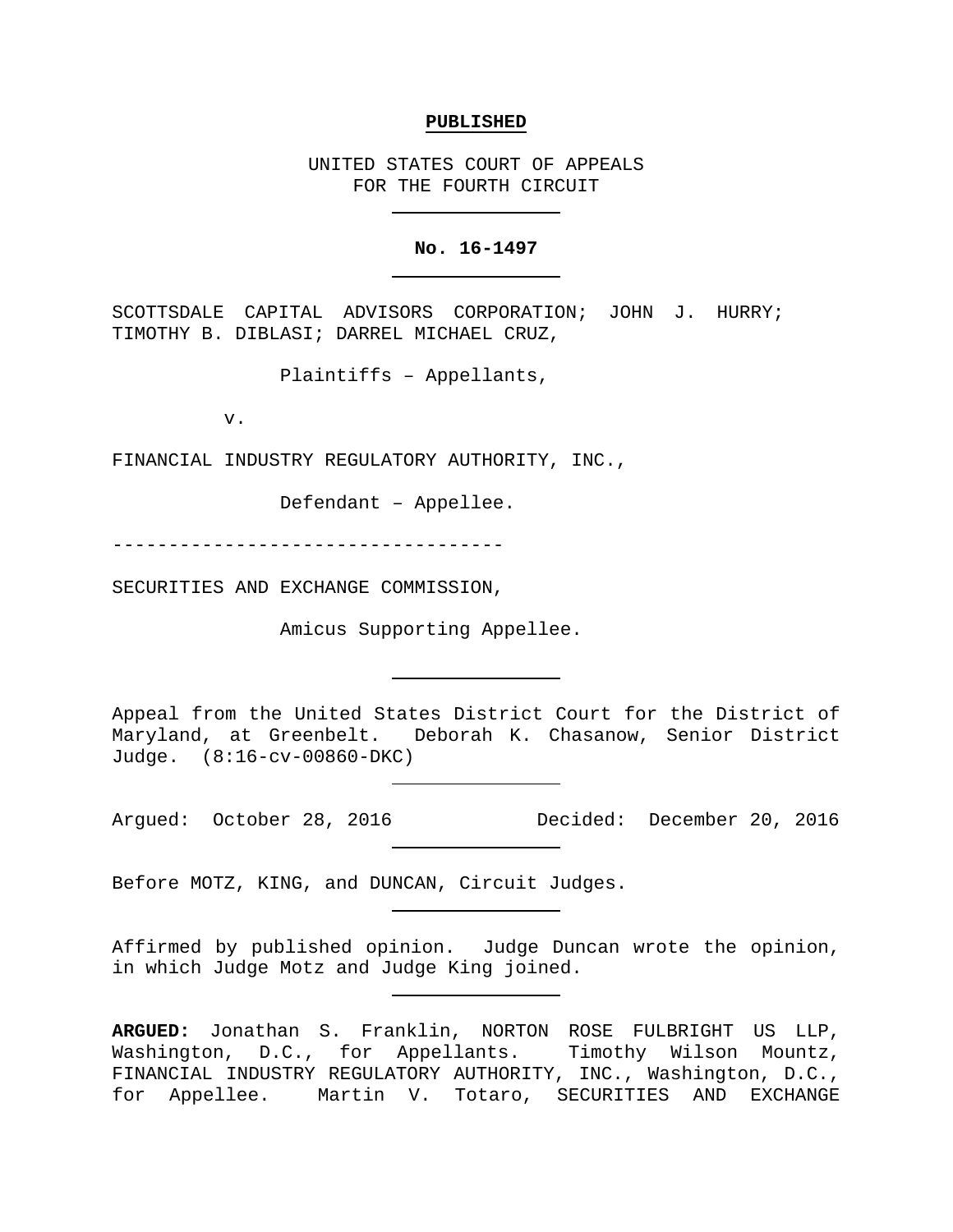#### **PUBLISHED**

UNITED STATES COURT OF APPEALS FOR THE FOURTH CIRCUIT

## **No. 16-1497**

SCOTTSDALE CAPITAL ADVISORS CORPORATION; JOHN J. HURRY; TIMOTHY B. DIBLASI; DARREL MICHAEL CRUZ,

Plaintiffs – Appellants,

v.

FINANCIAL INDUSTRY REGULATORY AUTHORITY, INC.,

Defendant – Appellee.

-----------------------------------

SECURITIES AND EXCHANGE COMMISSION,

Amicus Supporting Appellee.

Appeal from the United States District Court for the District of Maryland, at Greenbelt. Deborah K. Chasanow, Senior District Judge. (8:16-cv-00860-DKC)

Argued: October 28, 2016 Decided: December 20, 2016

Before MOTZ, KING, and DUNCAN, Circuit Judges.

Affirmed by published opinion. Judge Duncan wrote the opinion, in which Judge Motz and Judge King joined.

**ARGUED:** Jonathan S. Franklin, NORTON ROSE FULBRIGHT US LLP, Washington, D.C., for Appellants. Timothy Wilson Mountz, FINANCIAL INDUSTRY REGULATORY AUTHORITY, INC., Washington, D.C., for Appellee. Martin V. Totaro, SECURITIES AND EXCHANGE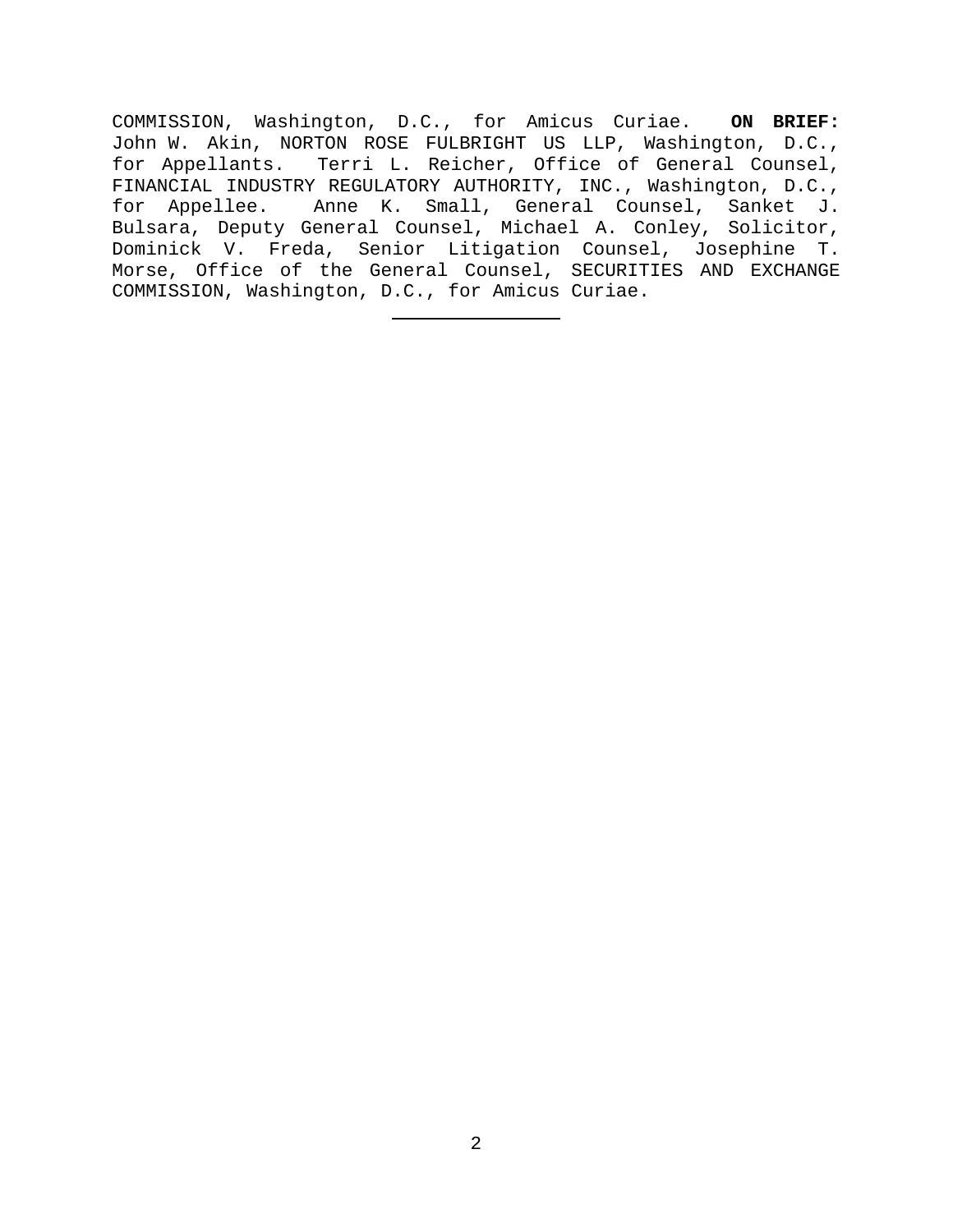COMMISSION, Washington, D.C., for Amicus Curiae. **ON BRIEF:** John W. Akin, NORTON ROSE FULBRIGHT US LLP, Washington, D.C., for Appellants. Terri L. Reicher, Office of General Counsel, FINANCIAL INDUSTRY REGULATORY AUTHORITY, INC., Washington, D.C., for Appellee. Anne K. Small, General Counsel, Sanket J. Bulsara, Deputy General Counsel, Michael A. Conley, Solicitor, Dominick V. Freda, Senior Litigation Counsel, Josephine T. Morse, Office of the General Counsel, SECURITIES AND EXCHANGE COMMISSION, Washington, D.C., for Amicus Curiae.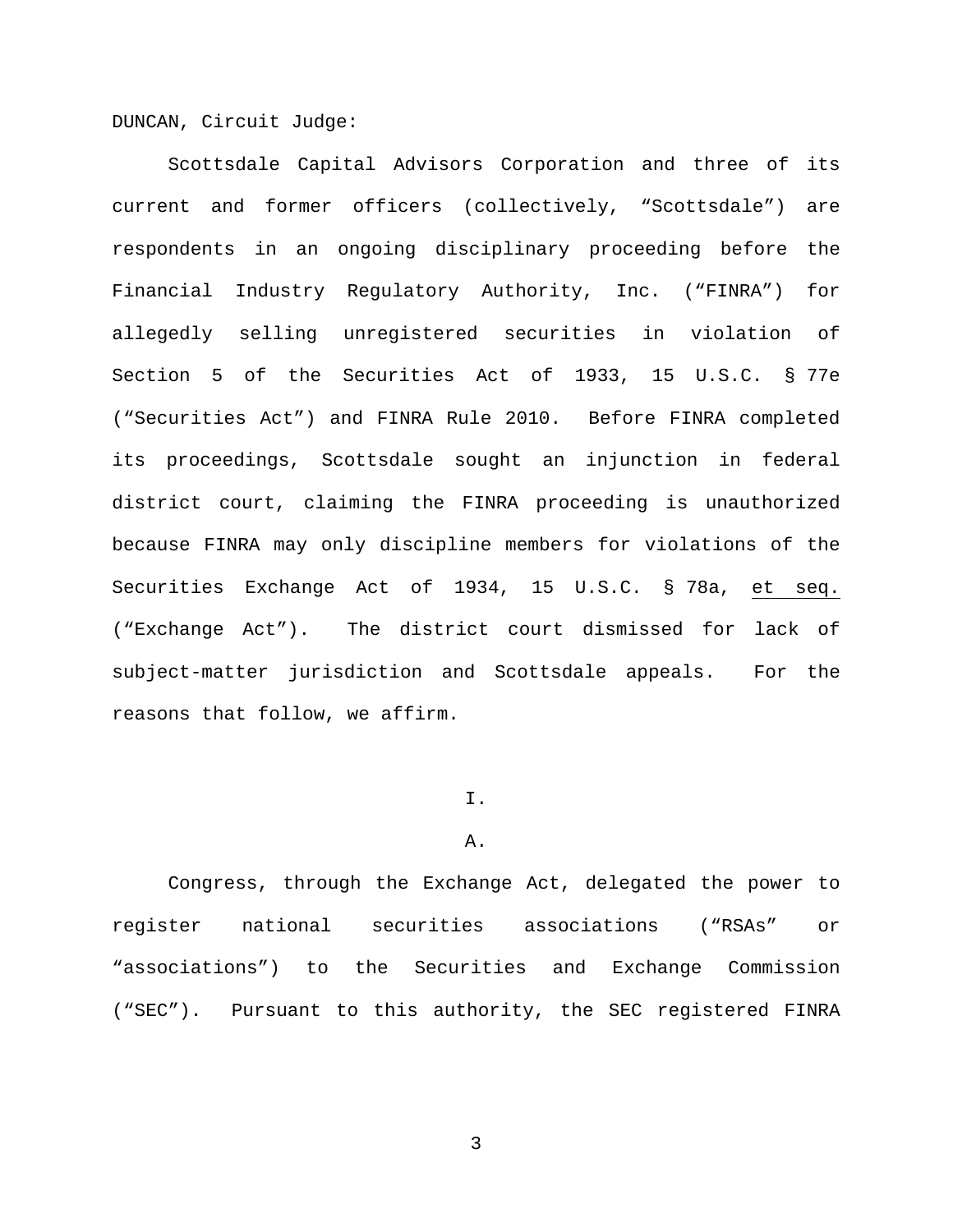DUNCAN, Circuit Judge:

Scottsdale Capital Advisors Corporation and three of its current and former officers (collectively, "Scottsdale") are respondents in an ongoing disciplinary proceeding before the Financial Industry Regulatory Authority, Inc. ("FINRA") for allegedly selling unregistered securities in violation of Section 5 of the Securities Act of 1933, 15 U.S.C. § 77e ("Securities Act") and FINRA Rule 2010. Before FINRA completed its proceedings, Scottsdale sought an injunction in federal district court, claiming the FINRA proceeding is unauthorized because FINRA may only discipline members for violations of the Securities Exchange Act of 1934, 15 U.S.C. § 78a, et seq. ("Exchange Act"). The district court dismissed for lack of subject-matter jurisdiction and Scottsdale appeals. For the reasons that follow, we affirm.

### I.

### A.

Congress, through the Exchange Act, delegated the power to register national securities associations ("RSAs" or "associations") to the Securities and Exchange Commission ("SEC"). Pursuant to this authority, the SEC registered FINRA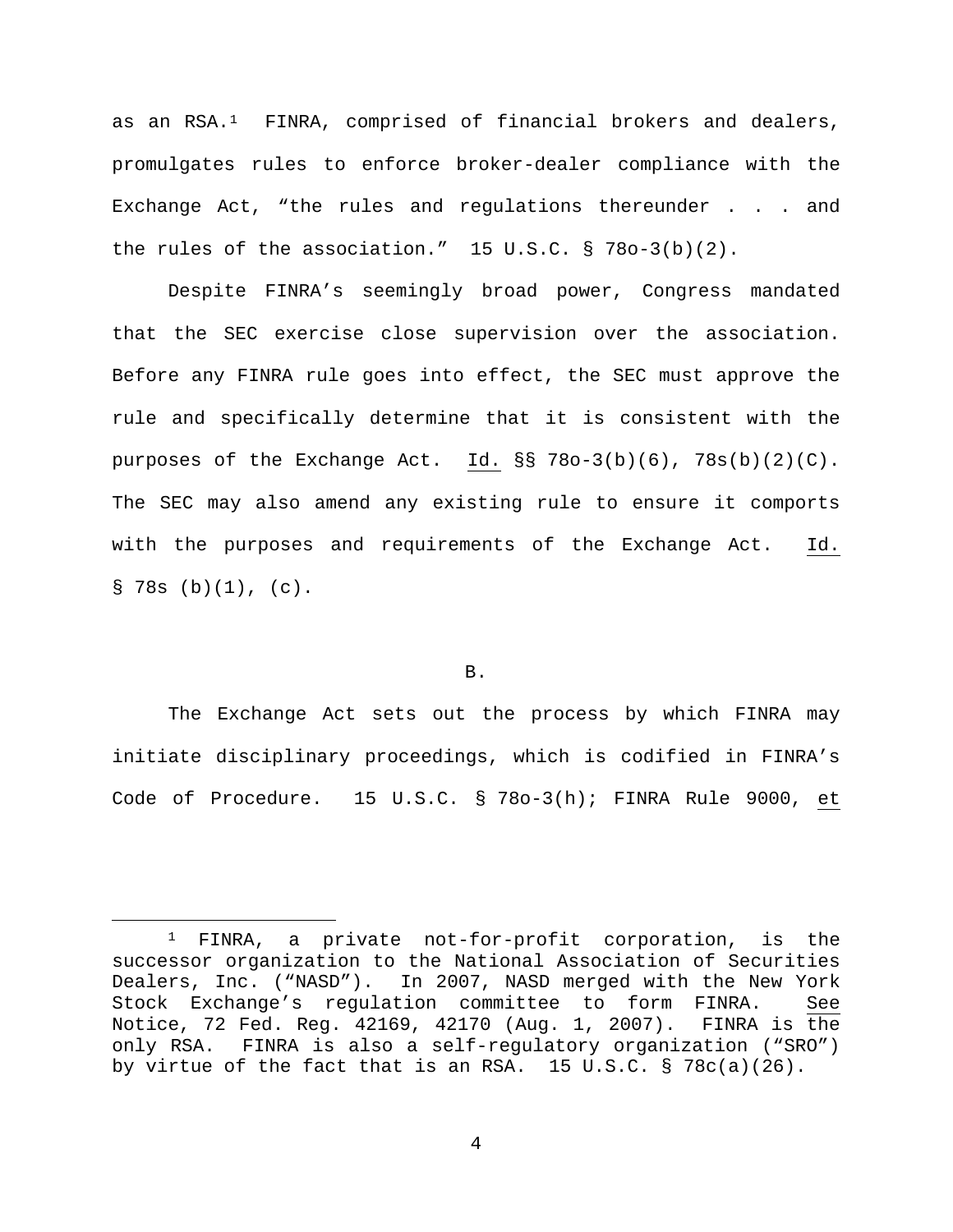as an  $RSA.^1$  FINRA, comprised of financial brokers and dealers, promulgates rules to enforce broker-dealer compliance with the Exchange Act, "the rules and regulations thereunder . . . and the rules of the association." 15  $U.S.C. \$   $\frac{5}{8}$  78o-3(b)(2).

Despite FINRA's seemingly broad power, Congress mandated that the SEC exercise close supervision over the association. Before any FINRA rule goes into effect, the SEC must approve the rule and specifically determine that it is consistent with the purposes of the Exchange Act. Id. §§ 78o-3(b)(6), 78s(b)(2)(C). The SEC may also amend any existing rule to ensure it comports with the purposes and requirements of the Exchange Act. Id.  $\S$  78s (b)(1), (c).

## B.

The Exchange Act sets out the process by which FINRA may initiate disciplinary proceedings, which is codified in FINRA's Code of Procedure. 15 U.S.C. § 78o-3(h); FINRA Rule 9000, et

<span id="page-3-0"></span> <sup>1</sup> FINRA, a private not-for-profit corporation, is the successor organization to the National Association of Securities Dealers, Inc. ("NASD"). In 2007, NASD merged with the New York Stock Exchange's regulation committee to form FINRA. See Notice, 72 Fed. Reg. 42169, 42170 (Aug. 1, 2007). FINRA is the only RSA. FINRA is also a self-regulatory organization ("SRO") by virtue of the fact that is an RSA. 15 U.S.C.  $\S$  78c(a)(26).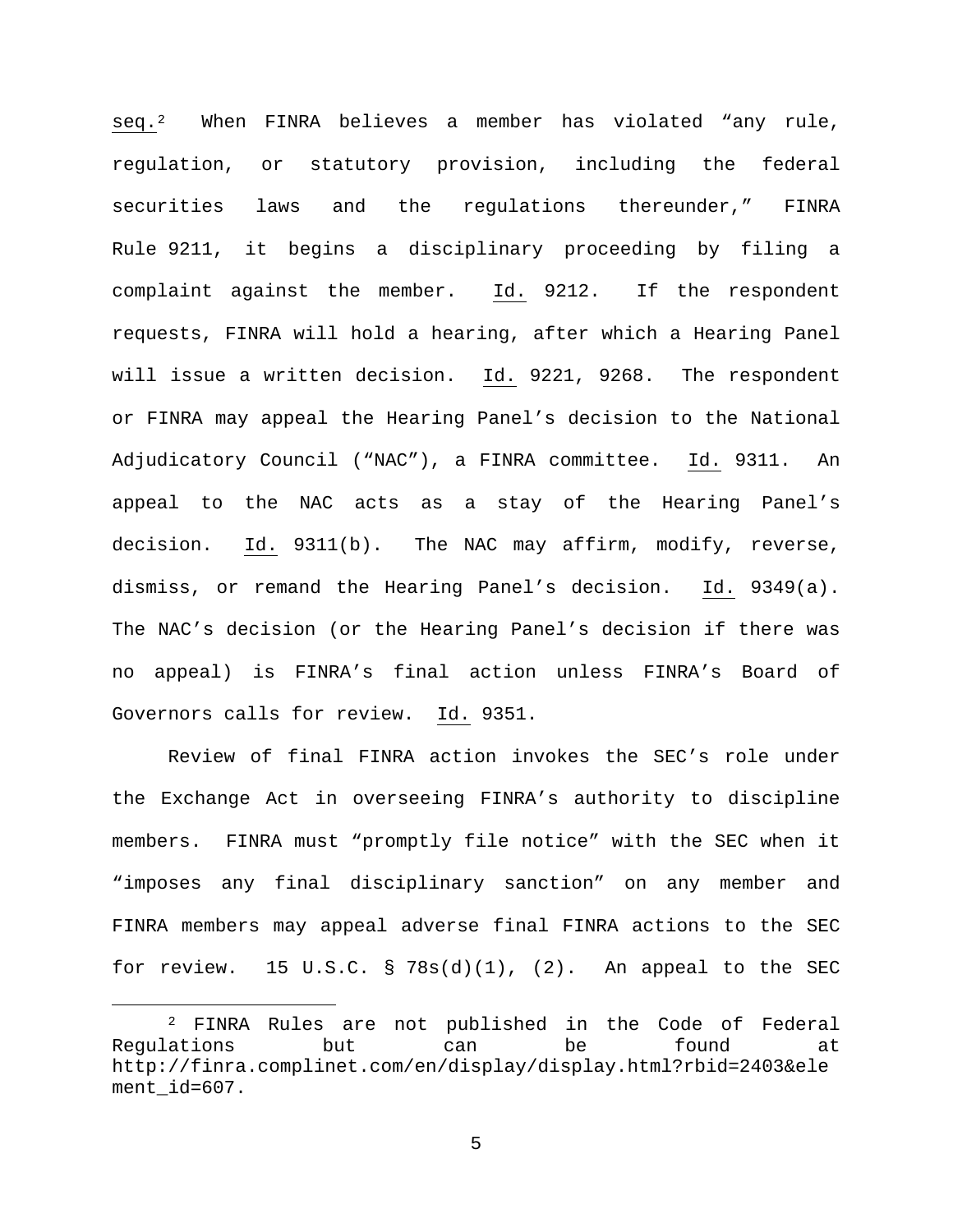seq.[2](#page-4-0) When FINRA believes a member has violated "any rule, regulation, or statutory provision, including the federal securities laws and the regulations thereunder," FINRA Rule 9211, it begins a disciplinary proceeding by filing a complaint against the member. Id. 9212. If the respondent requests, FINRA will hold a hearing, after which a Hearing Panel will issue a written decision. Id. 9221, 9268. The respondent or FINRA may appeal the Hearing Panel's decision to the National Adjudicatory Council ("NAC"), a FINRA committee. Id. 9311. An appeal to the NAC acts as a stay of the Hearing Panel's decision. Id. 9311(b). The NAC may affirm, modify, reverse, dismiss, or remand the Hearing Panel's decision. Id. 9349(a). The NAC's decision (or the Hearing Panel's decision if there was no appeal) is FINRA's final action unless FINRA's Board of Governors calls for review. Id. 9351.

Review of final FINRA action invokes the SEC's role under the Exchange Act in overseeing FINRA's authority to discipline members. FINRA must "promptly file notice" with the SEC when it "imposes any final disciplinary sanction" on any member and FINRA members may appeal adverse final FINRA actions to the SEC for review. 15 U.S.C. § 78s(d)(1), (2). An appeal to the SEC

<span id="page-4-0"></span><sup>&</sup>lt;sup>2</sup> FINRA Rules are not published in the Code of Federal<br>ations but can be found at Regulations but can be found at http://finra.complinet.com/en/display/display.html?rbid=2403&ele ment\_id=607.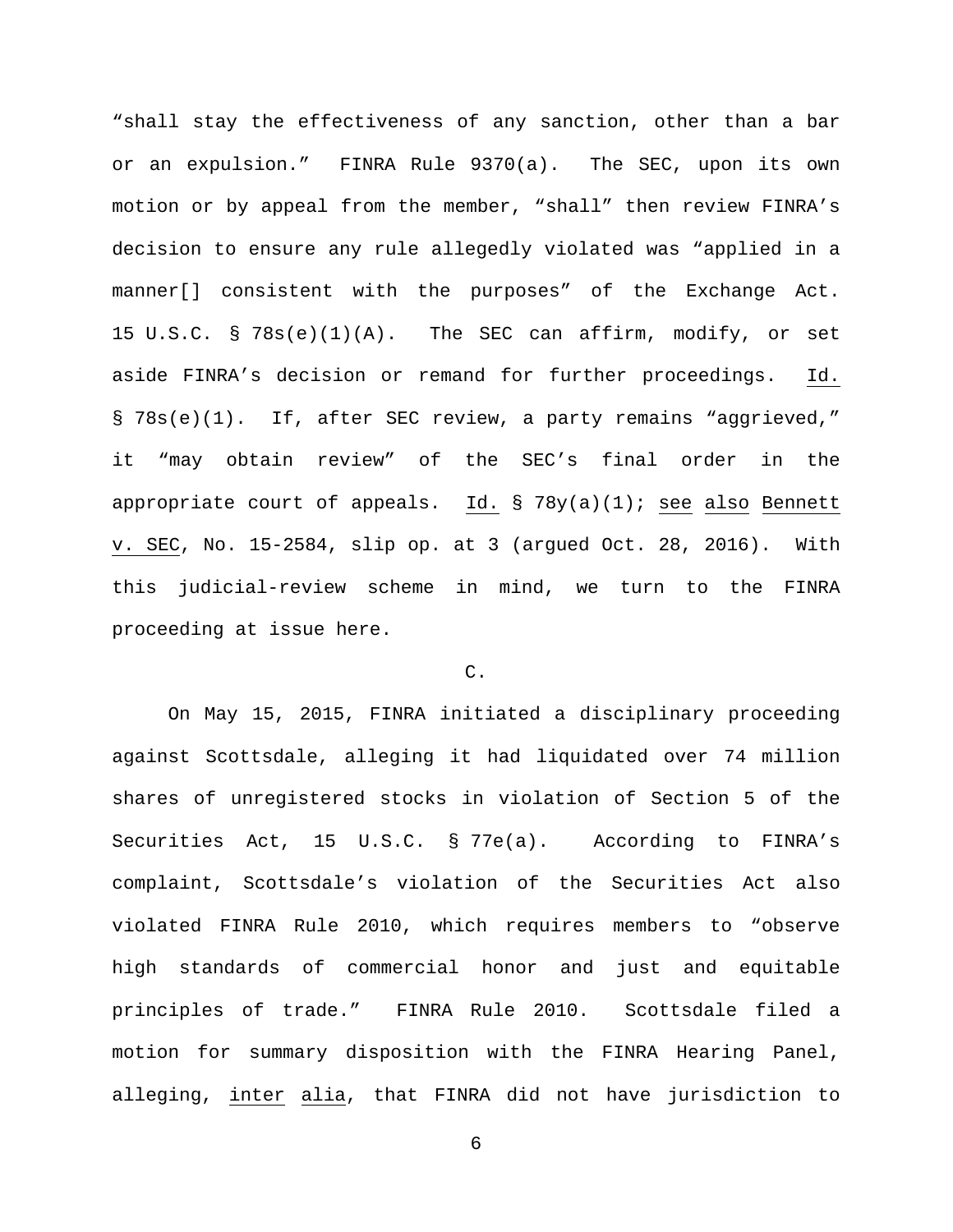"shall stay the effectiveness of any sanction, other than a bar or an expulsion." FINRA Rule 9370(a). The SEC, upon its own motion or by appeal from the member, "shall" then review FINRA's decision to ensure any rule allegedly violated was "applied in a manner[] consistent with the purposes" of the Exchange Act. 15 U.S.C. § 78s(e)(1)(A). The SEC can affirm, modify, or set aside FINRA's decision or remand for further proceedings. Id. § 78s(e)(1). If, after SEC review, a party remains "aggrieved," it "may obtain review" of the SEC's final order in the appropriate court of appeals. Id. §  $78y(a)(1)$ ; see also Bennett v. SEC, No. 15-2584, slip op. at 3 (argued Oct. 28, 2016). With this judicial-review scheme in mind, we turn to the FINRA proceeding at issue here.

# C.

On May 15, 2015, FINRA initiated a disciplinary proceeding against Scottsdale, alleging it had liquidated over 74 million shares of unregistered stocks in violation of Section 5 of the Securities Act, 15 U.S.C. § 77e(a). According to FINRA's complaint, Scottsdale's violation of the Securities Act also violated FINRA Rule 2010, which requires members to "observe high standards of commercial honor and just and equitable principles of trade." FINRA Rule 2010. Scottsdale filed a motion for summary disposition with the FINRA Hearing Panel, alleging, inter alia, that FINRA did not have jurisdiction to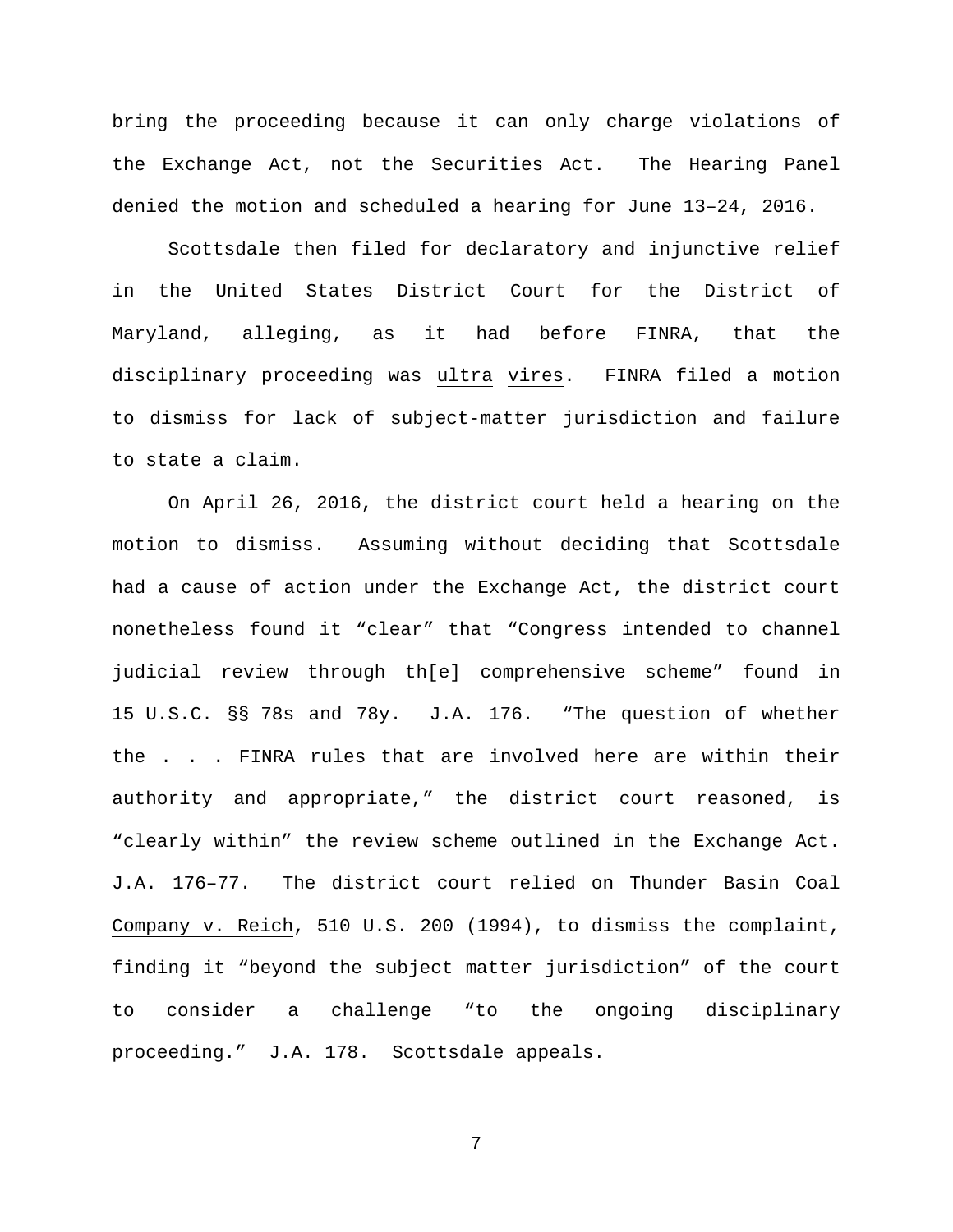bring the proceeding because it can only charge violations of the Exchange Act, not the Securities Act. The Hearing Panel denied the motion and scheduled a hearing for June 13–24, 2016.

Scottsdale then filed for declaratory and injunctive relief in the United States District Court for the District of Maryland, alleging, as it had before FINRA, that the disciplinary proceeding was ultra vires. FINRA filed a motion to dismiss for lack of subject-matter jurisdiction and failure to state a claim.

On April 26, 2016, the district court held a hearing on the motion to dismiss. Assuming without deciding that Scottsdale had a cause of action under the Exchange Act, the district court nonetheless found it "clear" that "Congress intended to channel judicial review through th[e] comprehensive scheme" found in 15 U.S.C. §§ 78s and 78y. J.A. 176. "The question of whether the . . . FINRA rules that are involved here are within their authority and appropriate," the district court reasoned, is "clearly within" the review scheme outlined in the Exchange Act. J.A. 176–77. The district court relied on Thunder Basin Coal Company v. Reich, 510 U.S. 200 (1994), to dismiss the complaint, finding it "beyond the subject matter jurisdiction" of the court to consider a challenge "to the ongoing disciplinary proceeding." J.A. 178. Scottsdale appeals.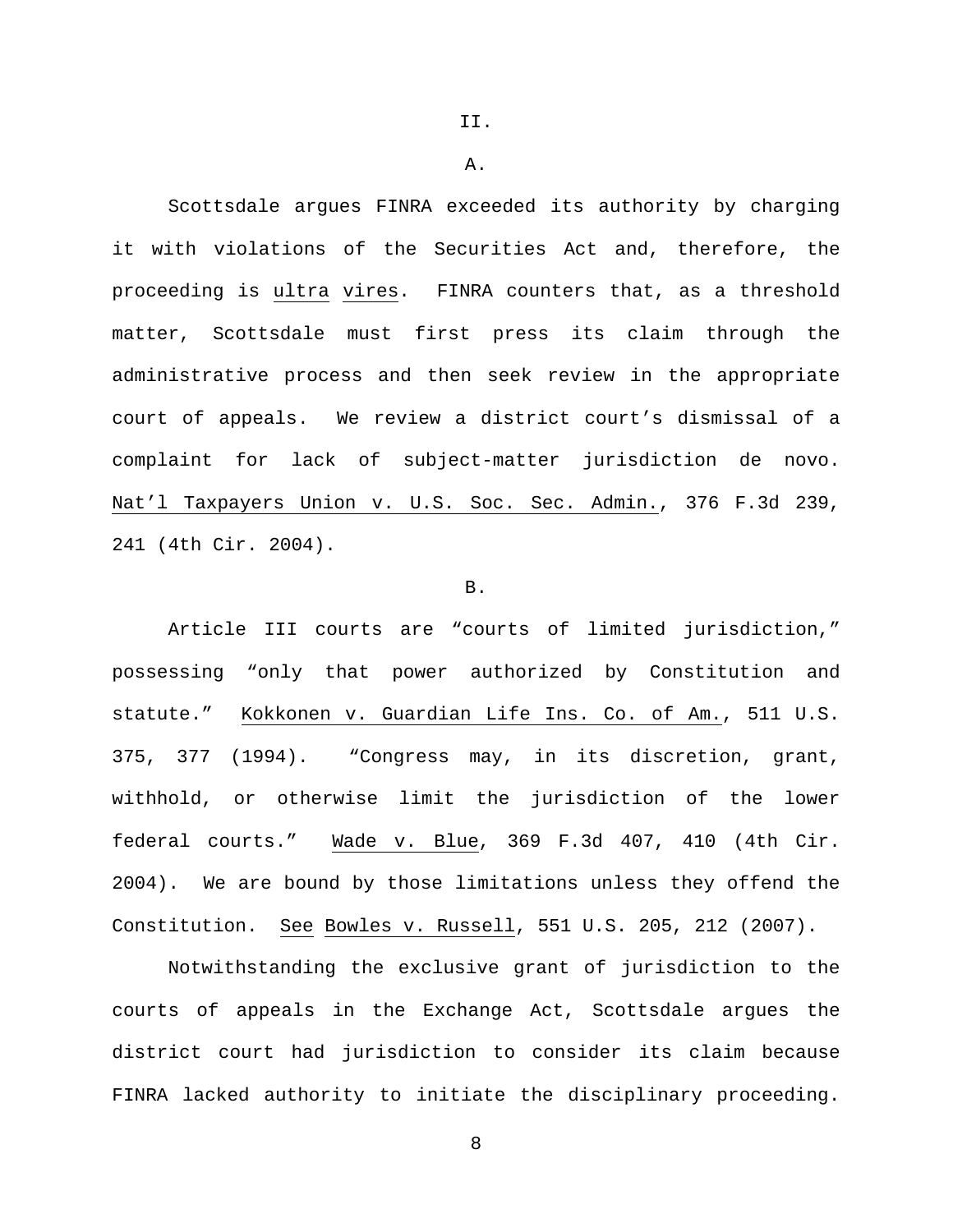II.

A.

Scottsdale argues FINRA exceeded its authority by charging it with violations of the Securities Act and, therefore, the proceeding is ultra vires. FINRA counters that, as a threshold matter, Scottsdale must first press its claim through the administrative process and then seek review in the appropriate court of appeals. We review a district court's dismissal of a complaint for lack of subject-matter jurisdiction de novo. Nat'l Taxpayers Union v. U.S. Soc. Sec. Admin., 376 F.3d 239, 241 (4th Cir. 2004).

### B.

Article III courts are "courts of limited jurisdiction," possessing "only that power authorized by Constitution and statute." Kokkonen v. Guardian Life Ins. Co. of Am., 511 U.S. 375, 377 (1994). "Congress may, in its discretion, grant, withhold, or otherwise limit the jurisdiction of the lower federal courts." Wade v. Blue, 369 F.3d 407, 410 (4th Cir. 2004). We are bound by those limitations unless they offend the Constitution. See Bowles v. Russell, 551 U.S. 205, 212 (2007).

Notwithstanding the exclusive grant of jurisdiction to the courts of appeals in the Exchange Act, Scottsdale argues the district court had jurisdiction to consider its claim because FINRA lacked authority to initiate the disciplinary proceeding.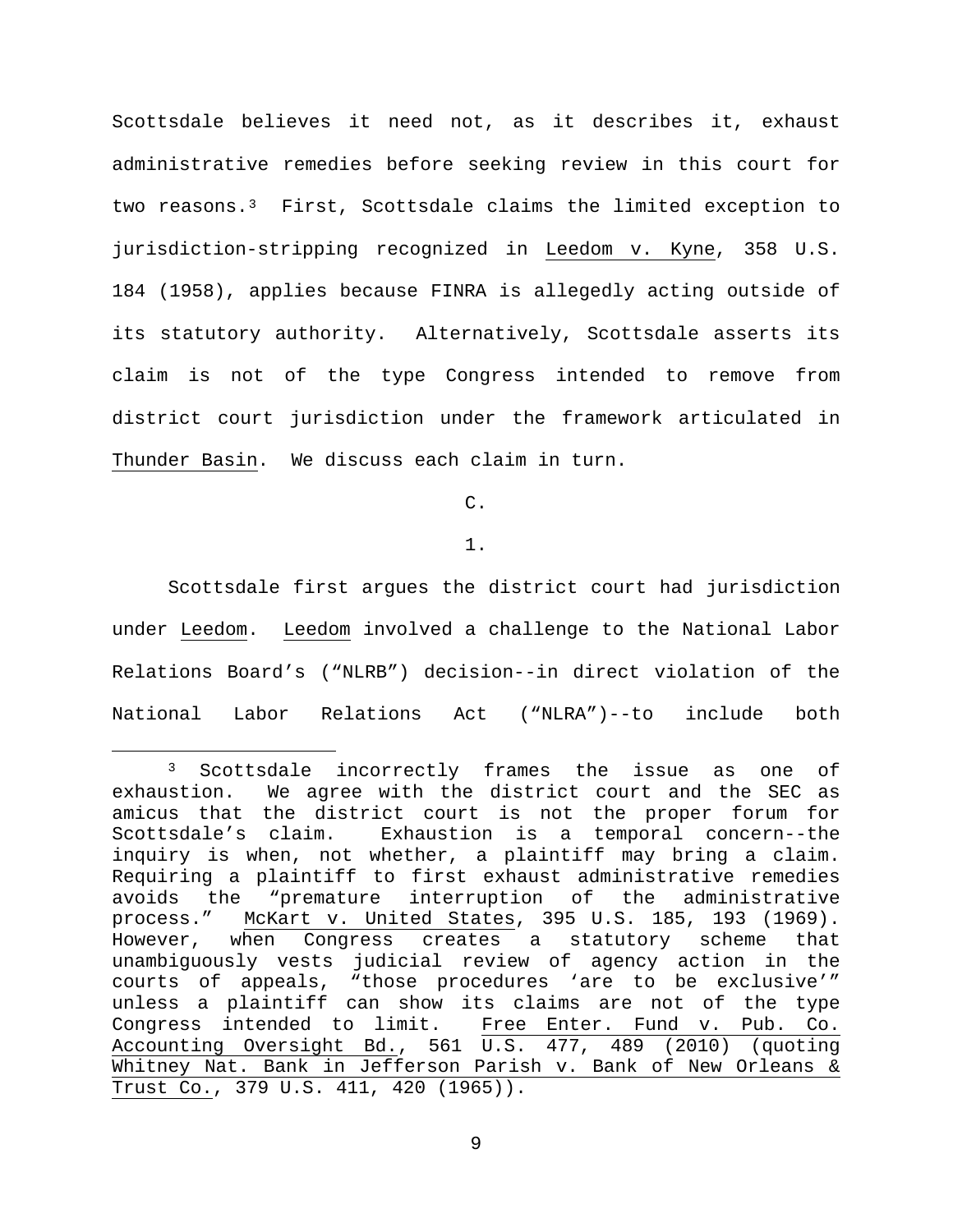Scottsdale believes it need not, as it describes it, exhaust administrative remedies before seeking review in this court for two reasons.[3](#page-8-0) First, Scottsdale claims the limited exception to jurisdiction-stripping recognized in Leedom v. Kyne, 358 U.S. 184 (1958), applies because FINRA is allegedly acting outside of its statutory authority. Alternatively, Scottsdale asserts its claim is not of the type Congress intended to remove from district court jurisdiction under the framework articulated in Thunder Basin. We discuss each claim in turn.

C.

1.

Scottsdale first argues the district court had jurisdiction under Leedom. Leedom involved a challenge to the National Labor Relations Board's ("NLRB") decision--in direct violation of the National Labor Relations Act ("NLRA")--to include both

<span id="page-8-0"></span> <sup>3</sup> Scottsdale incorrectly frames the issue as one of exhaustion. We agree with the district court and the SEC as amicus that the district court is not the proper forum for Scottsdale's claim. Exhaustion is a temporal concern--the inquiry is when, not whether, a plaintiff may bring a claim. Requiring a plaintiff to first exhaust administrative remedies avoids the "premature interruption of the administrative<br>process." McKart v. United States, 395 U.S. 185, 193 (1969). McKart v. United States, 395 U.S. 185, 193 (1969). However, when Congress creates a statutory scheme that unambiguously vests judicial review of agency action in the courts of appeals, "those procedures 'are to be exclusive'" unless a plaintiff can show its claims are not of the type<br>Congress intended to limit. Free Enter. Fund v. Pub. Co. Free Enter. Fund v. Pub. Co. Accounting Oversight Bd., 561 U.S. 477, 489 (2010) (quoting Whitney Nat. Bank in Jefferson Parish v. Bank of New Orleans & Trust Co., 379 U.S. 411, 420 (1965)).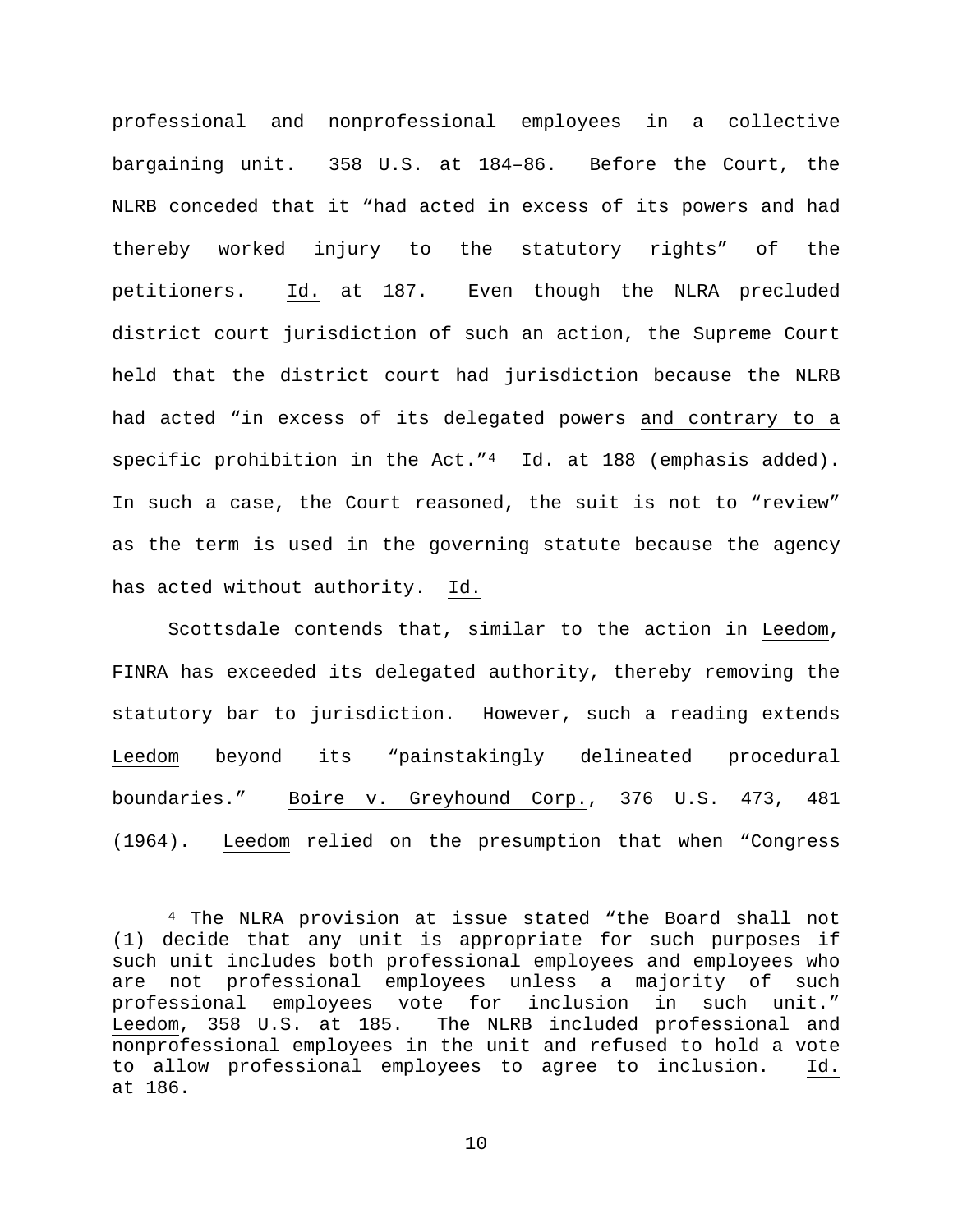professional and nonprofessional employees in a collective bargaining unit. 358 U.S. at 184–86. Before the Court, the NLRB conceded that it "had acted in excess of its powers and had thereby worked injury to the statutory rights" of the petitioners. Id. at 187. Even though the NLRA precluded district court jurisdiction of such an action, the Supreme Court held that the district court had jurisdiction because the NLRB had acted "in excess of its delegated powers and contrary to a specific prohibition in the Act."[4](#page-9-0) Id. at 188 (emphasis added). In such a case, the Court reasoned, the suit is not to "review" as the term is used in the governing statute because the agency has acted without authority. Id.

Scottsdale contends that, similar to the action in Leedom, FINRA has exceeded its delegated authority, thereby removing the statutory bar to jurisdiction. However, such a reading extends Leedom beyond its "painstakingly delineated procedural boundaries." Boire v. Greyhound Corp., 376 U.S. 473, 481 (1964). Leedom relied on the presumption that when "Congress

<span id="page-9-0"></span> <sup>4</sup> The NLRA provision at issue stated "the Board shall not (1) decide that any unit is appropriate for such purposes if such unit includes both professional employees and employees who are not professional employees unless a majority of such professional employees vote for inclusion in such unit." Leedom, 358 U.S. at 185. The NLRB included professional and nonprofessional employees in the unit and refused to hold a vote to allow professional employees to agree to inclusion. Id. at 186.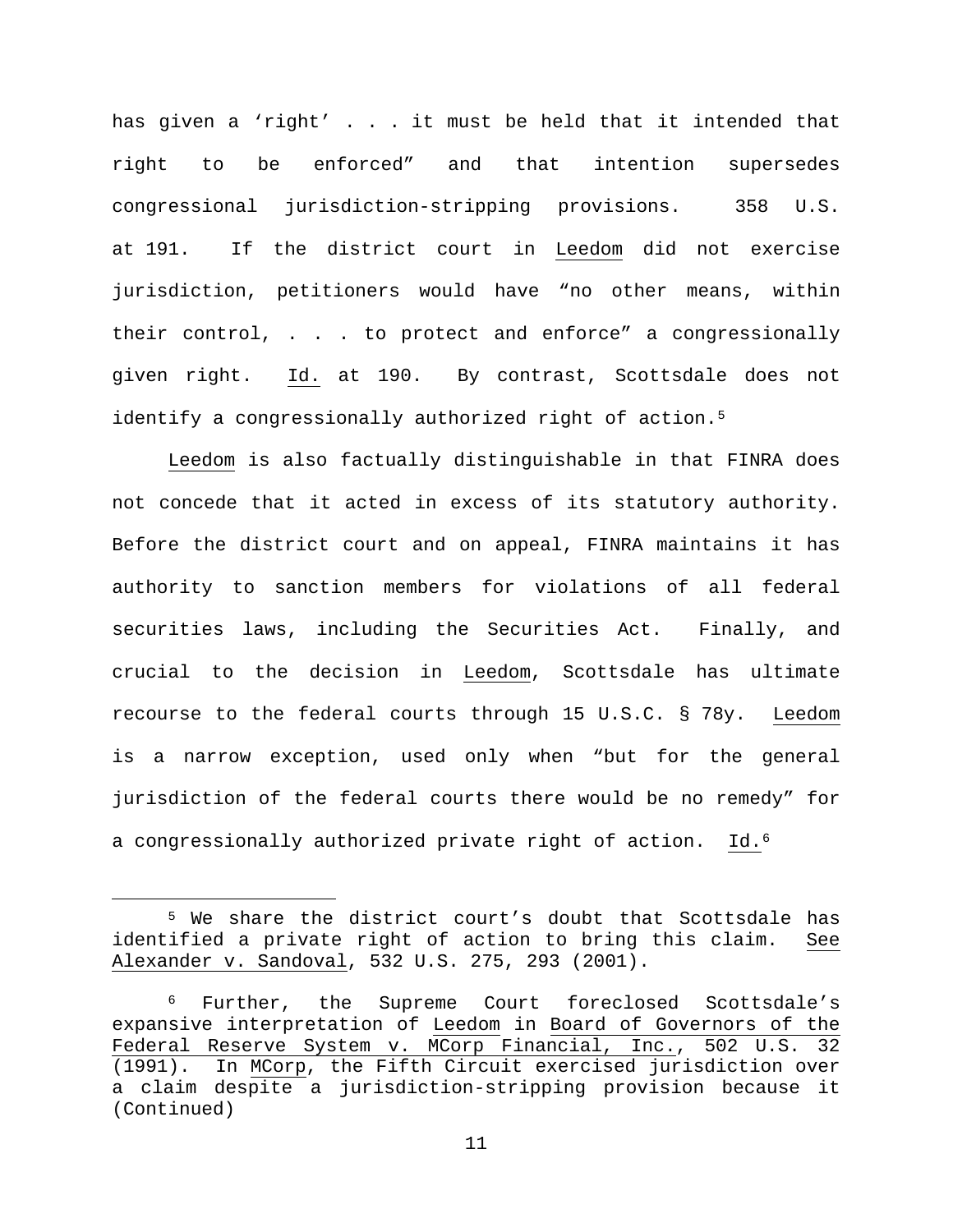has given a 'right' . . . it must be held that it intended that right to be enforced" and that intention supersedes congressional jurisdiction-stripping provisions. 358 U.S. at 191. If the district court in Leedom did not exercise jurisdiction, petitioners would have "no other means, within their control, . . . to protect and enforce" a congressionally given right. Id. at 190. By contrast, Scottsdale does not identify a congressionally authorized right of action.<sup>[5](#page-10-0)</sup>

Leedom is also factually distinguishable in that FINRA does not concede that it acted in excess of its statutory authority. Before the district court and on appeal, FINRA maintains it has authority to sanction members for violations of all federal securities laws, including the Securities Act. Finally, and crucial to the decision in Leedom, Scottsdale has ultimate recourse to the federal courts through 15 U.S.C. § 78y. Leedom is a narrow exception, used only when "but for the general jurisdiction of the federal courts there would be no remedy" for a congressionally authorized private right of action. Id.[6](#page-10-1)

<span id="page-10-0"></span> <sup>5</sup> We share the district court's doubt that Scottsdale has identified a private right of action to bring this claim. See Alexander v. Sandoval, 532 U.S. 275, 293 (2001).

<span id="page-10-1"></span><sup>6</sup> Further, the Supreme Court foreclosed Scottsdale's expansive interpretation of <u>Leedom</u> in <u>Board of Governors of the</u><br>Federal Reserve System v. MCorp Financial, Inc., 502 U.S. 32 Federal Reserve System v. MCorp Financial, Inc., (1991). In MCorp, the Fifth Circuit exercised jurisdiction over a claim despite a jurisdiction-stripping provision because it (Continued)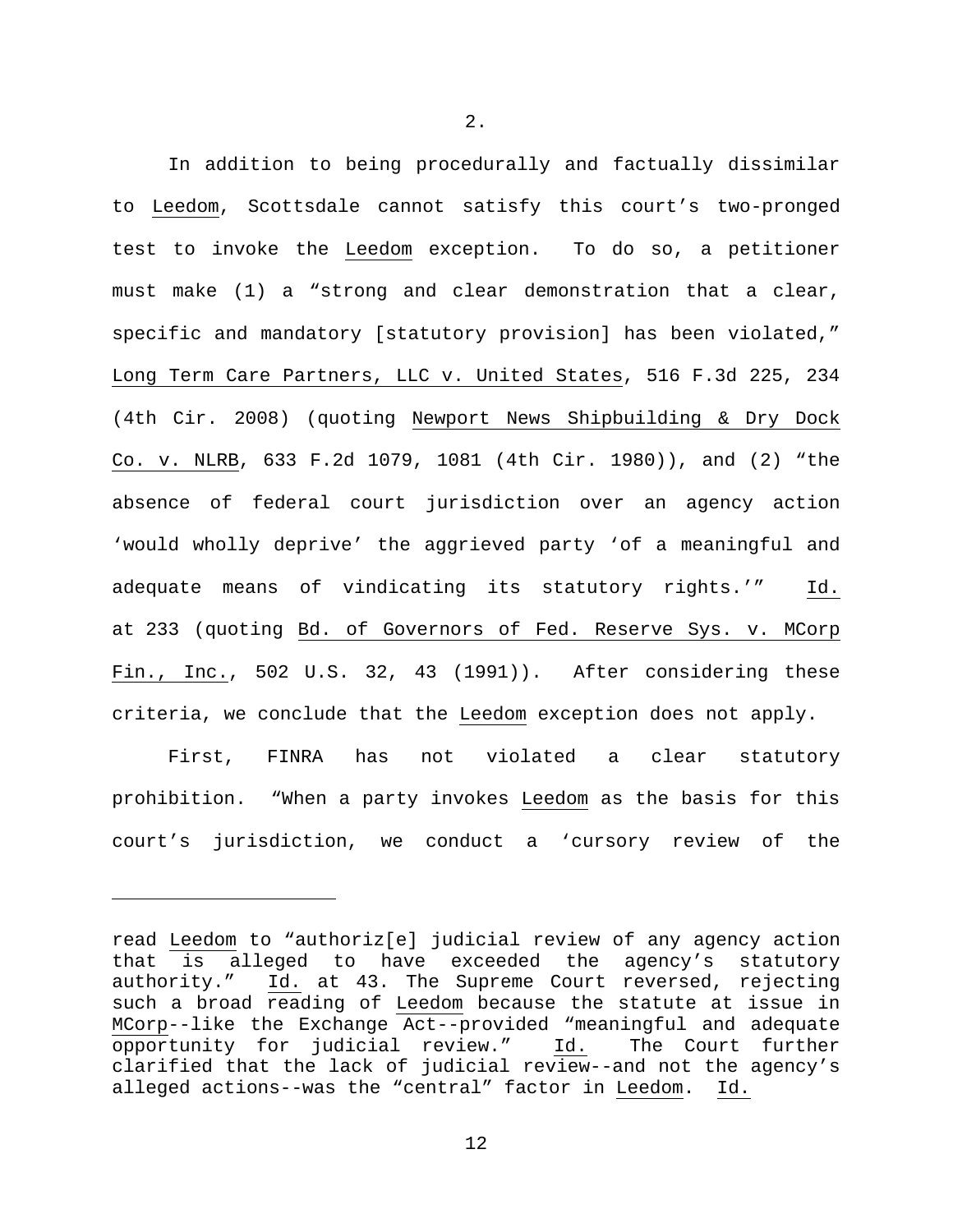In addition to being procedurally and factually dissimilar to Leedom, Scottsdale cannot satisfy this court's two-pronged test to invoke the Leedom exception. To do so, a petitioner must make (1) a "strong and clear demonstration that a clear, specific and mandatory [statutory provision] has been violated," Long Term Care Partners, LLC v. United States, 516 F.3d 225, 234 (4th Cir. 2008) (quoting Newport News Shipbuilding & Dry Dock Co. v. NLRB, 633 F.2d 1079, 1081 (4th Cir. 1980)), and (2) "the absence of federal court jurisdiction over an agency action 'would wholly deprive' the aggrieved party 'of a meaningful and adequate means of vindicating its statutory rights.'" Id. at 233 (quoting Bd. of Governors of Fed. Reserve Sys. v. MCorp Fin., Inc., 502 U.S. 32, 43 (1991)). After considering these criteria, we conclude that the Leedom exception does not apply.

First, FINRA has not violated a clear statutory prohibition. "When a party invokes Leedom as the basis for this court's jurisdiction, we conduct a 'cursory review of the

Ĩ.

2.

read Leedom to "authoriz[e] judicial review of any agency action that is alleged to have exceeded the agency's statutory authority." Id. at 43. The Supreme Court reversed, rejecting such a broad reading of Leedom because the statute at issue in MCorp--like the Exchange Act--provided "meaningful and adequate<br>opportunity for judicial review." Id. The Court further opportunity for judicial review." Id. clarified that the lack of judicial review--and not the agency's alleged actions--was the "central" factor in Leedom. Id.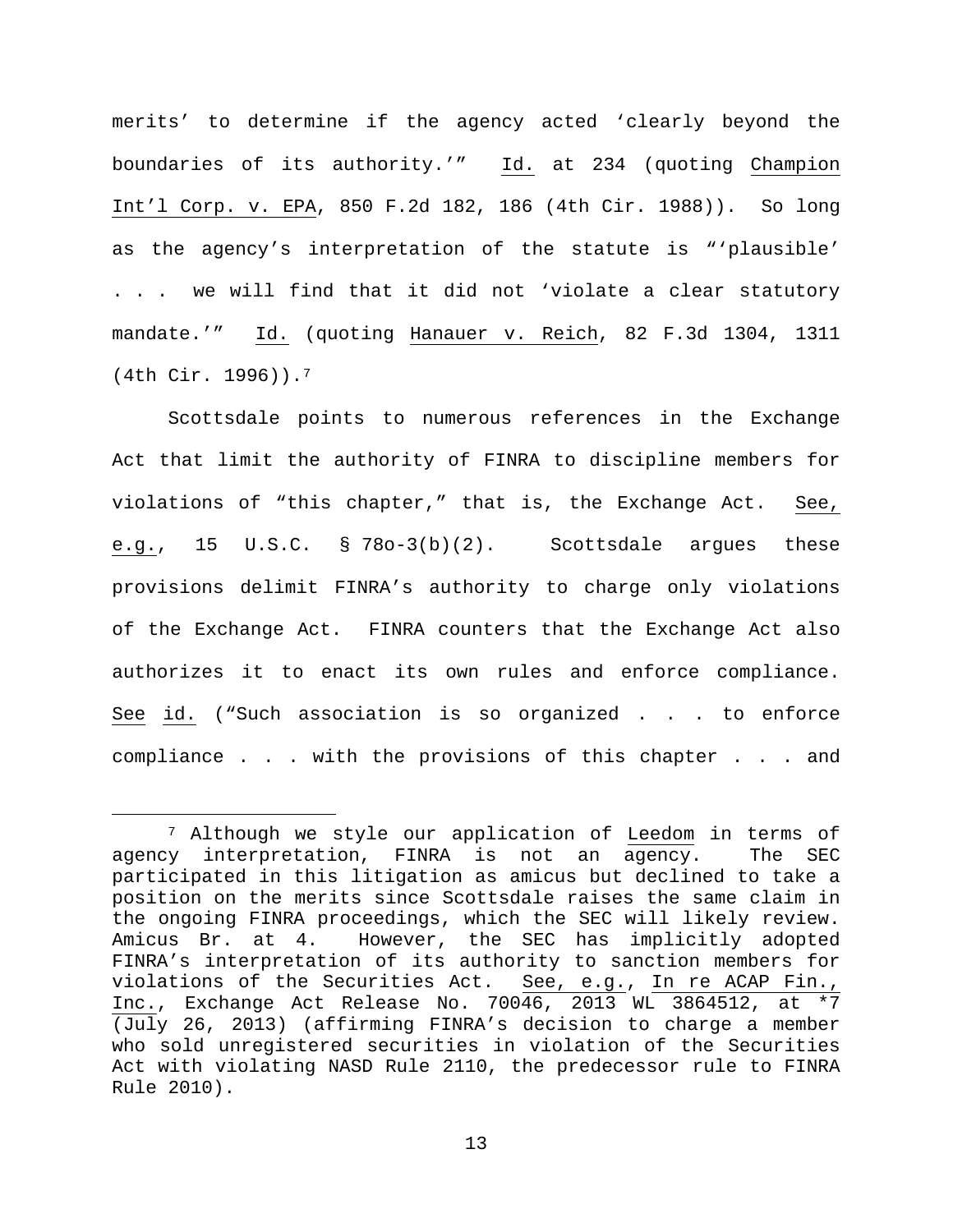merits' to determine if the agency acted 'clearly beyond the boundaries of its authority.'" Id. at 234 (quoting Champion Int'l Corp. v. EPA, 850 F.2d 182, 186 (4th Cir. 1988)). So long as the agency's interpretation of the statute is "'plausible' . . . we will find that it did not 'violate a clear statutory mandate.'" Id. (quoting Hanauer v. Reich, 82 F.3d 1304, 1311 (4th Cir. 1996)).[7](#page-12-0)

Scottsdale points to numerous references in the Exchange Act that limit the authority of FINRA to discipline members for violations of "this chapter," that is, the Exchange Act. See, e.g., 15 U.S.C. § 78o-3(b)(2). Scottsdale argues these provisions delimit FINRA's authority to charge only violations of the Exchange Act. FINRA counters that the Exchange Act also authorizes it to enact its own rules and enforce compliance. See id. ("Such association is so organized . . . to enforce compliance . . . with the provisions of this chapter . . . and

<span id="page-12-0"></span><sup>&</sup>lt;sup>7</sup> Although we style our application of <u>Leedom</u> in terms of<br>y interpretation, FINRA is not an agency. The SEC agency interpretation, FINRA is not an agency. participated in this litigation as amicus but declined to take a position on the merits since Scottsdale raises the same claim in the ongoing FINRA proceedings, which the SEC will likely review. Amicus Br. at 4. However, the SEC has implicitly adopted FINRA's interpretation of its authority to sanction members for violations of the Securities Act. See, e.g., In re ACAP Fin., Inc., Exchange Act Release No. 70046, 2013 WL 3864512, at \*7 (July 26, 2013) (affirming FINRA's decision to charge a member who sold unregistered securities in violation of the Securities Act with violating NASD Rule 2110, the predecessor rule to FINRA Rule 2010).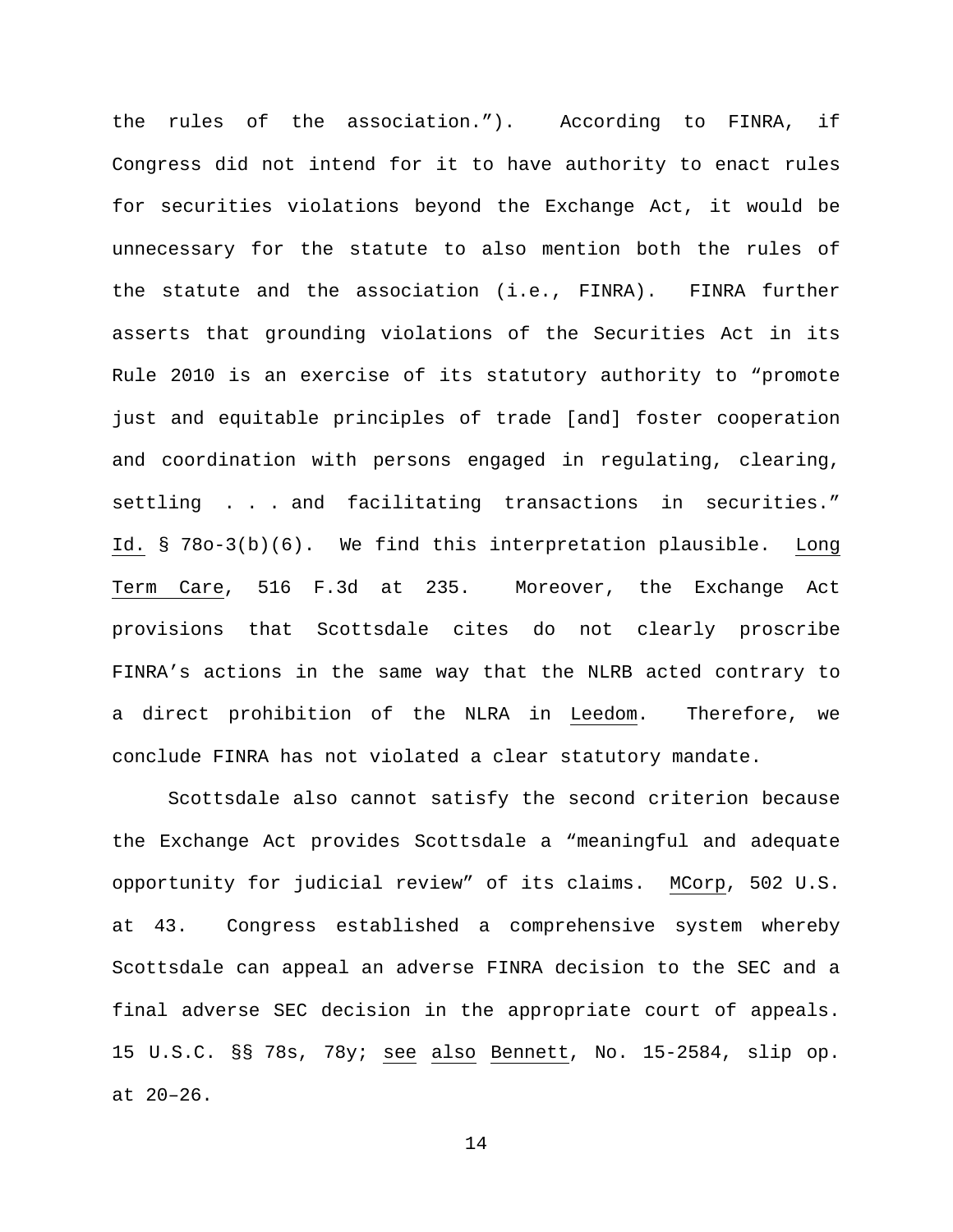the rules of the association."). According to FINRA, if Congress did not intend for it to have authority to enact rules for securities violations beyond the Exchange Act, it would be unnecessary for the statute to also mention both the rules of the statute and the association (i.e., FINRA). FINRA further asserts that grounding violations of the Securities Act in its Rule 2010 is an exercise of its statutory authority to "promote just and equitable principles of trade [and] foster cooperation and coordination with persons engaged in regulating, clearing, settling . . . and facilitating transactions in securities." Id. § 78o-3(b)(6). We find this interpretation plausible. Long Term Care, 516 F.3d at 235. Moreover, the Exchange Act provisions that Scottsdale cites do not clearly proscribe FINRA's actions in the same way that the NLRB acted contrary to a direct prohibition of the NLRA in Leedom. Therefore, we conclude FINRA has not violated a clear statutory mandate.

Scottsdale also cannot satisfy the second criterion because the Exchange Act provides Scottsdale a "meaningful and adequate opportunity for judicial review" of its claims. MCorp, 502 U.S. at 43. Congress established a comprehensive system whereby Scottsdale can appeal an adverse FINRA decision to the SEC and a final adverse SEC decision in the appropriate court of appeals. 15 U.S.C. §§ 78s, 78y; see also Bennett, No. 15-2584, slip op. at 20–26.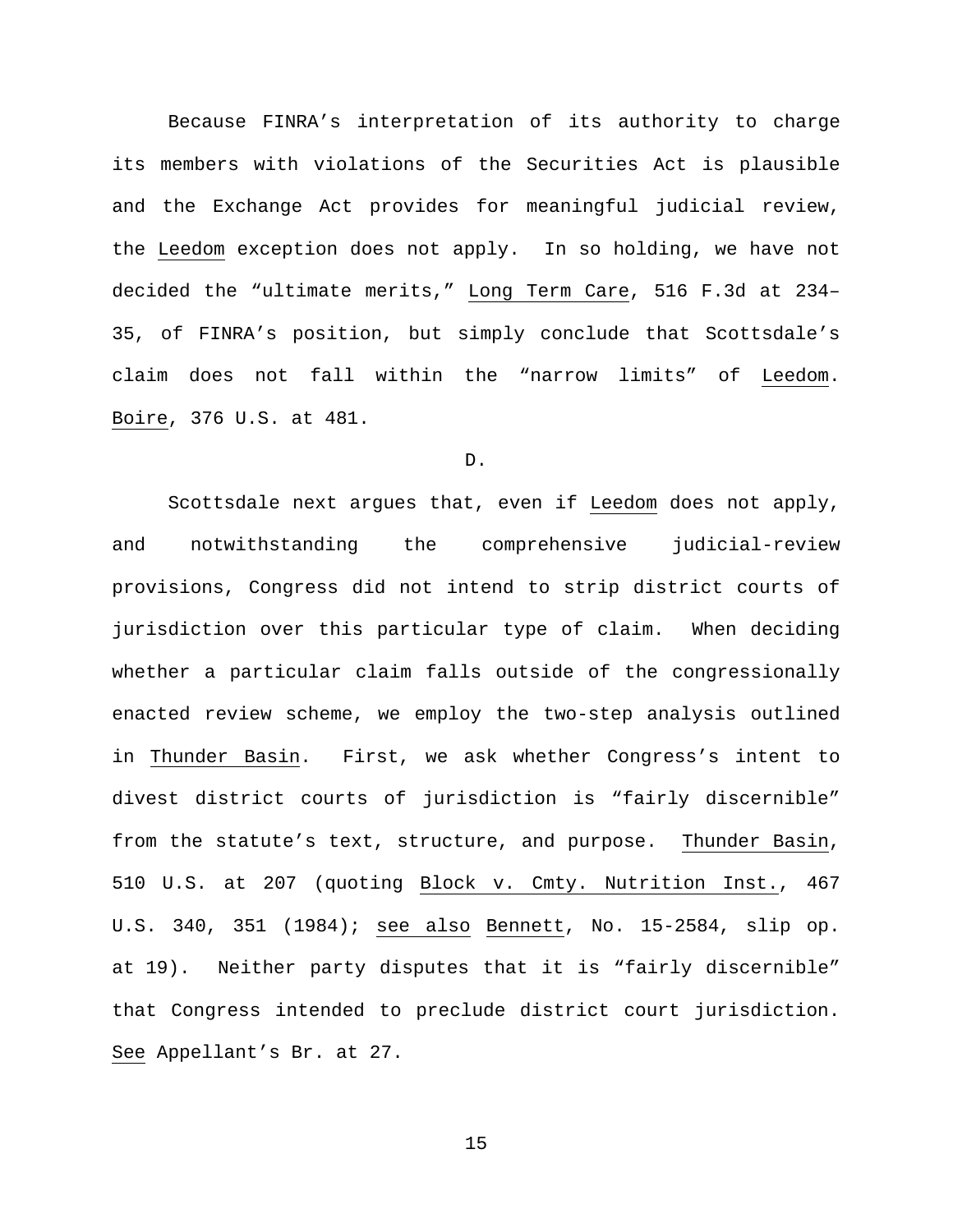Because FINRA's interpretation of its authority to charge its members with violations of the Securities Act is plausible and the Exchange Act provides for meaningful judicial review, the Leedom exception does not apply. In so holding, we have not decided the "ultimate merits," Long Term Care, 516 F.3d at 234– 35, of FINRA's position, but simply conclude that Scottsdale's claim does not fall within the "narrow limits" of Leedom. Boire, 376 U.S. at 481.

### D.

Scottsdale next argues that, even if Leedom does not apply, and notwithstanding the comprehensive judicial-review provisions, Congress did not intend to strip district courts of jurisdiction over this particular type of claim. When deciding whether a particular claim falls outside of the congressionally enacted review scheme, we employ the two-step analysis outlined in Thunder Basin. First, we ask whether Congress's intent to divest district courts of jurisdiction is "fairly discernible" from the statute's text, structure, and purpose. Thunder Basin, 510 U.S. at 207 (quoting Block v. Cmty. Nutrition Inst., 467 U.S. 340, 351 (1984); see also Bennett, No. 15-2584, slip op. at 19). Neither party disputes that it is "fairly discernible" that Congress intended to preclude district court jurisdiction. See Appellant's Br. at 27.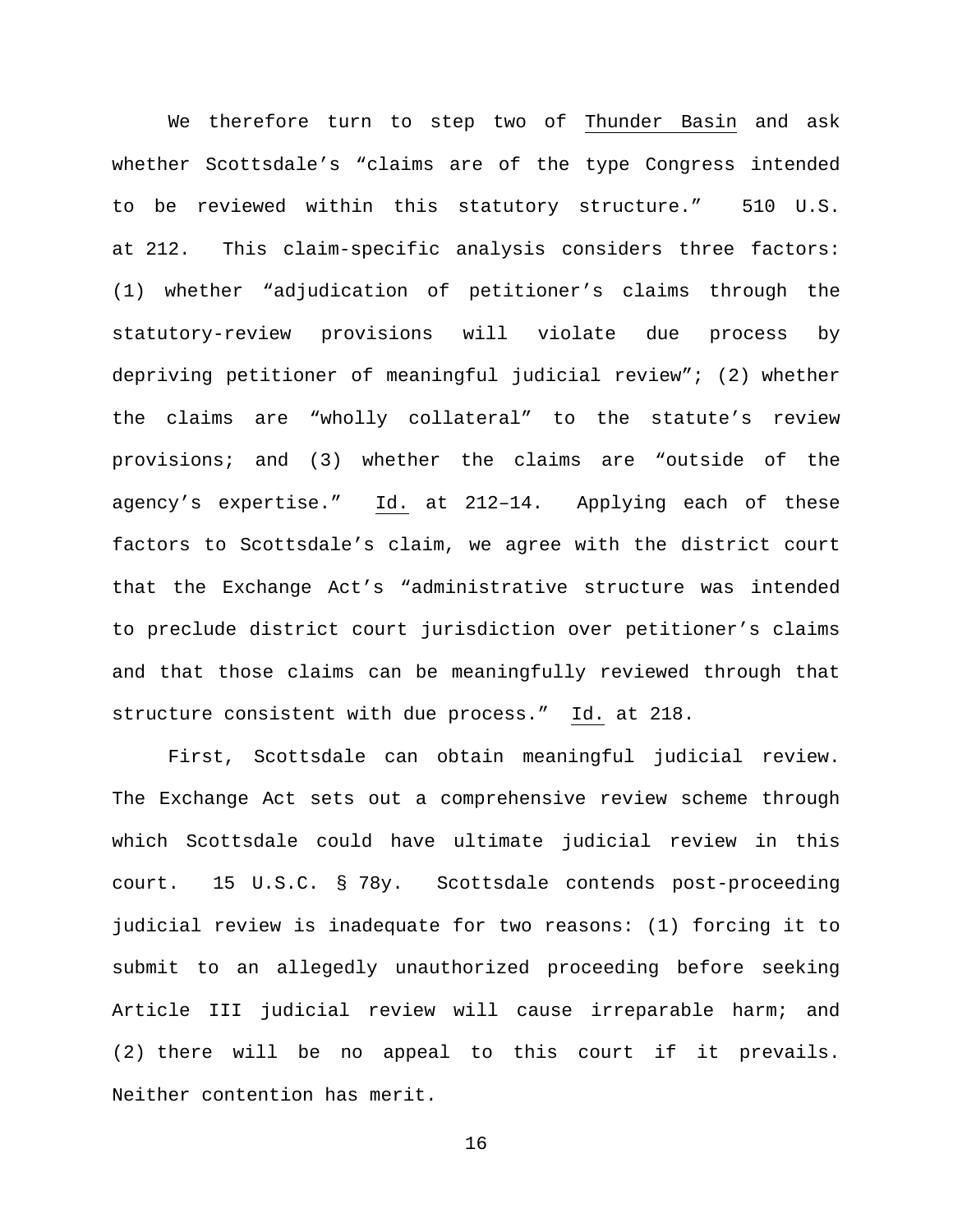We therefore turn to step two of Thunder Basin and ask whether Scottsdale's "claims are of the type Congress intended to be reviewed within this statutory structure." 510 U.S. at 212. This claim-specific analysis considers three factors: (1) whether "adjudication of petitioner's claims through the statutory-review provisions will violate due process by depriving petitioner of meaningful judicial review"; (2) whether the claims are "wholly collateral" to the statute's review provisions; and (3) whether the claims are "outside of the agency's expertise." Id. at 212–14. Applying each of these factors to Scottsdale's claim, we agree with the district court that the Exchange Act's "administrative structure was intended to preclude district court jurisdiction over petitioner's claims and that those claims can be meaningfully reviewed through that structure consistent with due process." Id. at 218.

First, Scottsdale can obtain meaningful judicial review. The Exchange Act sets out a comprehensive review scheme through which Scottsdale could have ultimate judicial review in this court. 15 U.S.C. § 78y. Scottsdale contends post-proceeding judicial review is inadequate for two reasons: (1) forcing it to submit to an allegedly unauthorized proceeding before seeking Article III judicial review will cause irreparable harm; and (2) there will be no appeal to this court if it prevails. Neither contention has merit.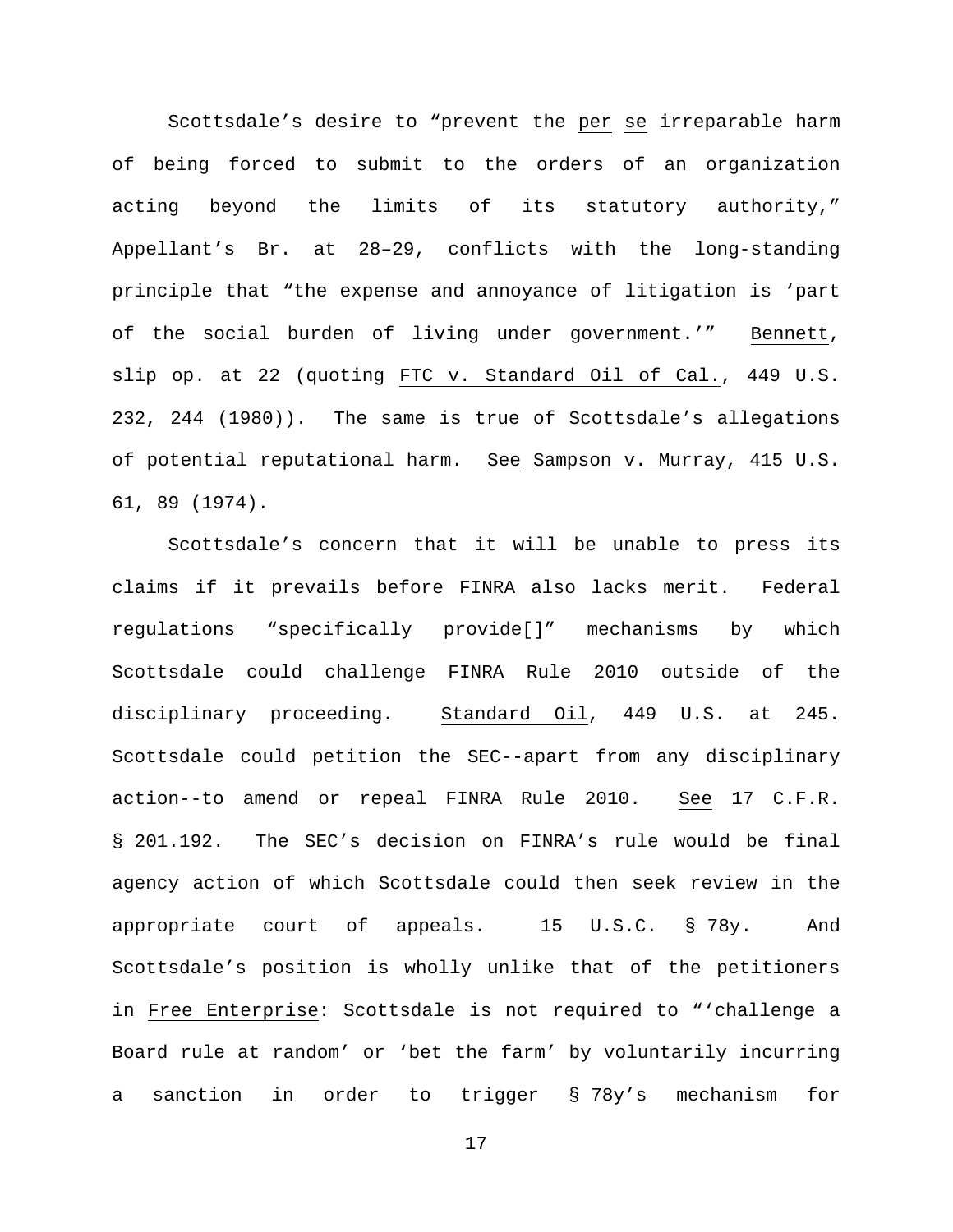Scottsdale's desire to "prevent the per se irreparable harm of being forced to submit to the orders of an organization acting beyond the limits of its statutory authority," Appellant's Br. at 28–29, conflicts with the long-standing principle that "the expense and annoyance of litigation is 'part of the social burden of living under government.'" Bennett, slip op. at 22 (quoting FTC v. Standard Oil of Cal., 449 U.S. 232, 244 (1980)). The same is true of Scottsdale's allegations of potential reputational harm. See Sampson v. Murray, 415 U.S. 61, 89 (1974).

Scottsdale's concern that it will be unable to press its claims if it prevails before FINRA also lacks merit. Federal regulations "specifically provide[]" mechanisms by which Scottsdale could challenge FINRA Rule 2010 outside of the disciplinary proceeding. Standard Oil, 449 U.S. at 245. Scottsdale could petition the SEC--apart from any disciplinary action--to amend or repeal FINRA Rule 2010. See 17 C.F.R. § 201.192. The SEC's decision on FINRA's rule would be final agency action of which Scottsdale could then seek review in the appropriate court of appeals. 15 U.S.C. § 78y. And Scottsdale's position is wholly unlike that of the petitioners in Free Enterprise: Scottsdale is not required to "'challenge a Board rule at random' or 'bet the farm' by voluntarily incurring a sanction in order to trigger § 78y's mechanism for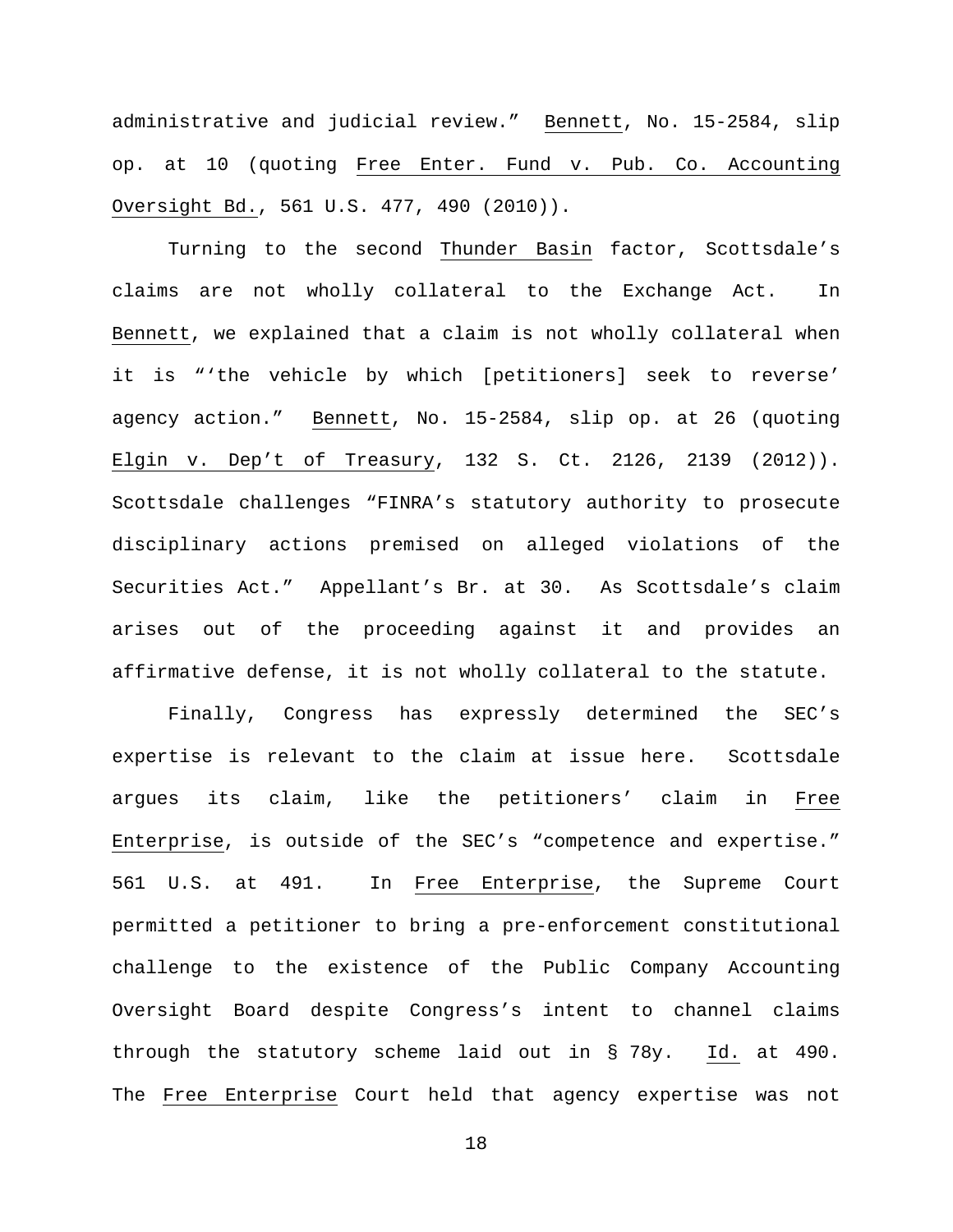administrative and judicial review." Bennett, No. 15-2584, slip op. at 10 (quoting Free Enter. Fund v. Pub. Co. Accounting Oversight Bd., 561 U.S. 477, 490 (2010)).

Turning to the second Thunder Basin factor, Scottsdale's claims are not wholly collateral to the Exchange Act. In Bennett, we explained that a claim is not wholly collateral when it is "'the vehicle by which [petitioners] seek to reverse' agency action." Bennett, No. 15-2584, slip op. at 26 (quoting Elgin v. Dep't of Treasury, 132 S. Ct. 2126, 2139 (2012)). Scottsdale challenges "FINRA's statutory authority to prosecute disciplinary actions premised on alleged violations of the Securities Act." Appellant's Br. at 30. As Scottsdale's claim arises out of the proceeding against it and provides an affirmative defense, it is not wholly collateral to the statute.

Finally, Congress has expressly determined the SEC's expertise is relevant to the claim at issue here. Scottsdale argues its claim, like the petitioners' claim in Free Enterprise, is outside of the SEC's "competence and expertise." 561 U.S. at 491. In Free Enterprise, the Supreme Court permitted a petitioner to bring a pre-enforcement constitutional challenge to the existence of the Public Company Accounting Oversight Board despite Congress's intent to channel claims through the statutory scheme laid out in § 78y. Id. at 490. The Free Enterprise Court held that agency expertise was not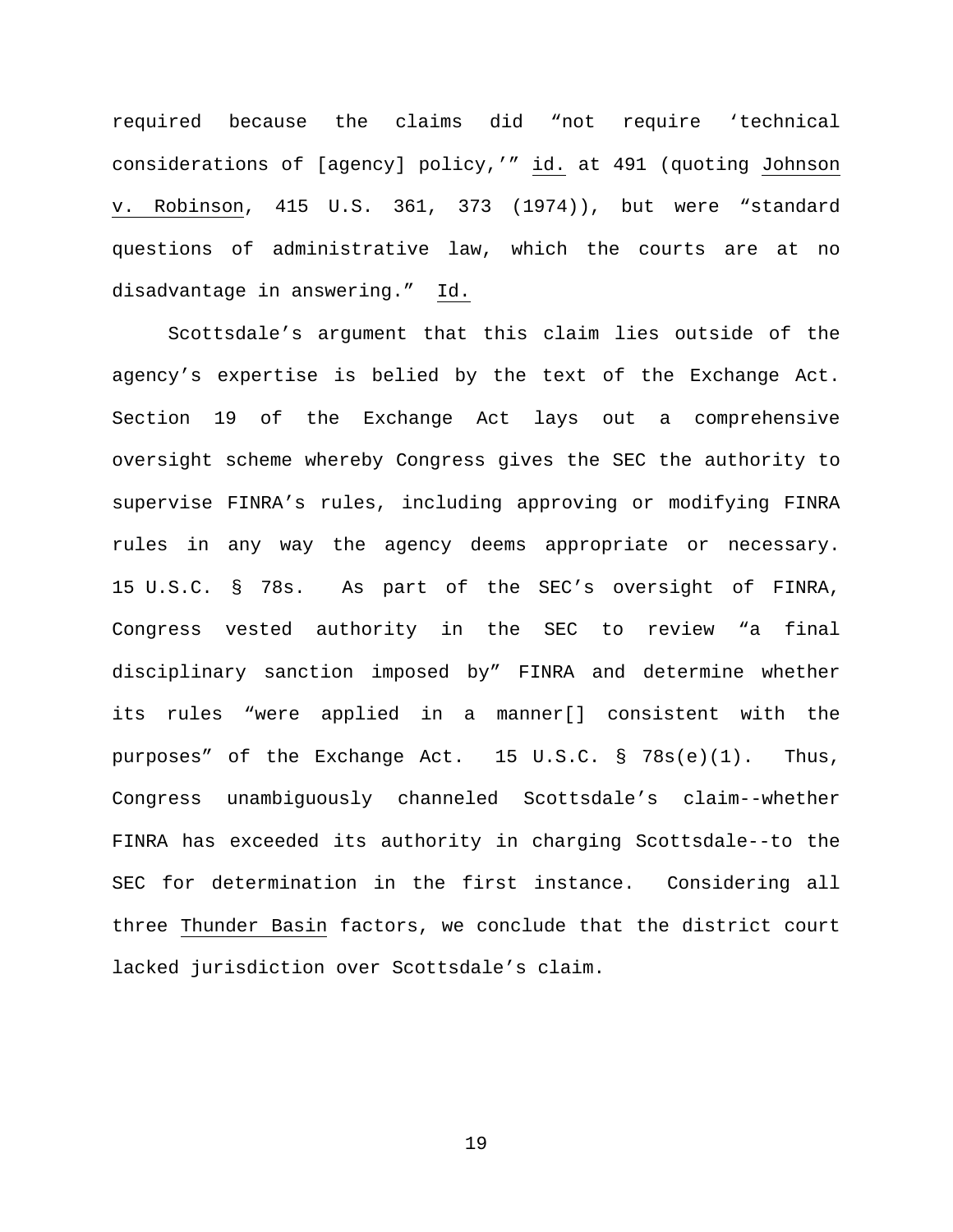required because the claims did "not require 'technical considerations of [agency] policy,'" id. at 491 (quoting Johnson v. Robinson, 415 U.S. 361, 373 (1974)), but were "standard questions of administrative law, which the courts are at no disadvantage in answering." Id.

Scottsdale's argument that this claim lies outside of the agency's expertise is belied by the text of the Exchange Act. Section 19 of the Exchange Act lays out a comprehensive oversight scheme whereby Congress gives the SEC the authority to supervise FINRA's rules, including approving or modifying FINRA rules in any way the agency deems appropriate or necessary. 15 U.S.C. § 78s. As part of the SEC's oversight of FINRA, Congress vested authority in the SEC to review "a final disciplinary sanction imposed by" FINRA and determine whether its rules "were applied in a manner[] consistent with the purposes" of the Exchange Act. 15 U.S.C. § 78s(e)(1). Thus, Congress unambiguously channeled Scottsdale's claim--whether FINRA has exceeded its authority in charging Scottsdale--to the SEC for determination in the first instance. Considering all three Thunder Basin factors, we conclude that the district court lacked jurisdiction over Scottsdale's claim.